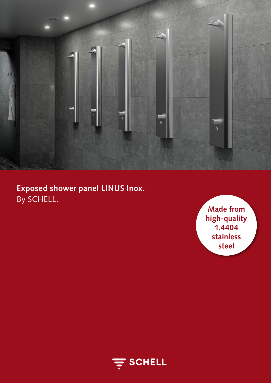

**Exposed shower panel LINUS Inox.** By SCHELL.

**Made from high-quality 1.4404 stainless steel**

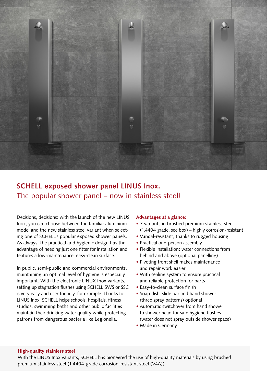

# **SCHELL exposed shower panel LINUS Inox.** The popular shower panel – now in stainless steel!

Decisions, decisions: with the launch of the new LINUS Inox, you can choose between the familiar aluminium model and the new stainless steel variant when selecting one of SCHELL's popular exposed shower panels. As always, the practical and hygienic design has the advantage of needing just one fitter for installation and features a low-maintenance, easy-clean surface.

In public, semi-public and commercial environments, maintaining an optimal level of hygiene is especially important. With the electronic LINUX Inox variants, setting up stagnation flushes using SCHELL SWS or SSC is very easy and user-friendly, for example. Thanks to LINUS Inox, SCHELL helps schools, hospitals, fitness studios, swimming baths and other public facilities maintain their drinking water quality while protecting patrons from dangerous bacteria like Legionella.

#### **Advantages at a glance:**

- 7 variants in brushed premium stainless steel (1.4404 grade, see box) – highly corrosion-resistant
- Vandal-resistant, thanks to rugged housing
- Practical one-person assembly
- Flexible installation: water connections from behind and above (optional panelling)
- Pivoting front shell makes maintenance and repair work easier
- With sealing system to ensure practical and reliable protection for parts
- Easy-to-clean surface finish
- Soap dish, slide bar and hand shower (three spray patterns) optional
- Automatic switchover from hand shower to shower head for safe hygiene flushes (water does not spray outside shower space)
- Made in Germany

#### **High-quality stainless steel**

With the LINUS Inox variants, SCHELL has pioneered the use of high-quality materials by using brushed premium stainless steel (1.4404-grade corrosion-resistant steel (V4A)).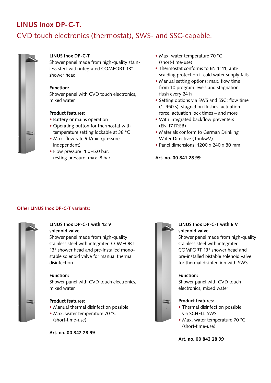# **LINUS Inox DP-C-T.** CVD touch electronics (thermostat), SWS- and SSC-capable.



## **LINUS Inox DP-C-T**

Shower panel made from high-quality stainless steel with integrated COMFORT 13° shower head

## **Function:**

Shower panel with CVD touch electronics, mixed water

#### **Product features:**

- Battery or mains operation
- Operating button for thermostat with temperature setting lockable at 38 °C
- Max. flow rate 9 l/min (pressureindependent)
- Flow pressure: 1.0–5.0 bar, resting pressure: max. 8 bar
- Max. water temperature 70 °C (short-time-use)
- Thermostat conforms to EN 1111, antiscalding protection if cold water supply fails
- Manual setting options: max. flow time from 10 program levels and stagnation flush every 24 h
- Setting options via SWS and SSC: flow time (1–950 s), stagnation flushes, actuation force, actuation lock times – and more
- With integrated backflow preventers (EN 1717:EB)
- Materials conform to German Drinking Water Directive (TrinkwV)
- Panel dimensions: 1200 x 240 x 80 mm

**Art. no. 00 841 28 99**

## **Other LINUS Inox DP-C-T variants:**



# **LINUS Inox DP-C-T with 12 V solenoid valve**

Shower panel made from high-quality stainless steel with integrated COMFORT 13° shower head and pre-installed monostable solenoid valve for manual thermal disinfection

## **Function:**

Shower panel with CVD touch electronics, mixed water

#### **Product features:**

- Manual thermal disinfection possible
- Max. water temperature 70 °C (short-time-use)

**Art. no. 00 842 28 99**



## **LINUS Inox DP-C-T with 6 V solenoid valve**

Shower panel made from high-quality stainless steel with integrated COMFORT 13° shower head and pre-installed bistable solenoid valve for thermal disinfection with SWS

## **Function:**

Shower panel with CVD touch electronics, mixed water

## **Product features:**

- Thermal disinfection possible via SCHELL SWS
- Max. water temperature 70 °C (short-time-use)

**Art. no. 00 843 28 99**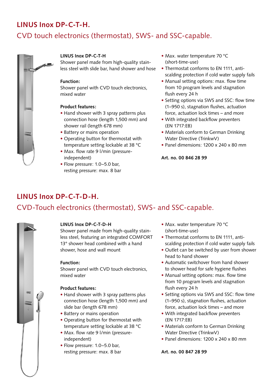# **LINUS Inox DP-C-T-H.** CVD touch electronics (thermostat), SWS- and SSC-capable.



## **LINUS Inox DP-C-T-H**

Shower panel made from high-quality stainless steel with slide bar, hand shower and hose

#### **Function:**

Shower panel with CVD touch electronics, mixed water

#### **Product features:**

- Hand shower with 3 spray patterns plus connection hose (length 1,500 mm) and shower rail (length 678 mm)
- Battery or mains operation
- Operating button for thermostat with temperature setting lockable at 38 °C
- Max. flow rate 9 l/min (pressureindependent)
- Flow pressure: 1.0-5.0 bar, resting pressure: max. 8 bar
- Max. water temperature 70 °C (short-time-use)
- Thermostat conforms to EN 1111, antiscalding protection if cold water supply fails
- Manual setting options: max. flow time from 10 program levels and stagnation flush every 24 h
- Setting options via SWS and SSC: flow time (1–950 s), stagnation flushes, actuation force, actuation lock times – and more
- With integrated backflow preventers (EN 1717:EB)
- Materials conform to German Drinking Water Directive (TrinkwV)
- Panel dimensions: 1200 x 240 x 80 mm

**Art. no. 00 846 28 99**

# **LINUS Inox DP-C-T-D-H.** CVD-Touch electronics (thermostat), SWS- and SSC-capable.



## **LINUS Inox DP-C-T-D-H**

Shower panel made from high-quality stainless steel, featuring an integrated COMFORT 13° shower head combined with a hand shower, hose and wall mount

## **Function:**

Shower panel with CVD touch electronics, mixed water

## **Product features:**

- Hand shower with 3 spray patterns plus connection hose (length 1,500 mm) and slide bar (length 678 mm)
- Battery or mains operation
- Operating button for thermostat with temperature setting lockable at 38 °C
- Max. flow rate 9 l/min (pressureindependent)
- Flow pressure: 1.0-5.0 bar, resting pressure: max. 8 bar
- Max. water temperature 70 °C (short-time-use)
- Thermostat conforms to EN 1111, antiscalding protection if cold water supply fails
- Outlet can be switched by user from shower head to hand shower
- Automatic switchover from hand shower to shower head for safe hygiene flushes
- Manual setting options: max. flow time from 10 program levels and stagnation flush every 24 h
- Setting options via SWS and SSC: flow time (1–950 s), stagnation flushes, actuation force, actuation lock times – and more
- With integrated backflow preventers (EN 1717:EB)
- Materials conform to German Drinking Water Directive (TrinkwV)
- Panel dimensions: 1200 x 240 x 80 mm

**Art. no. 00 847 28 99**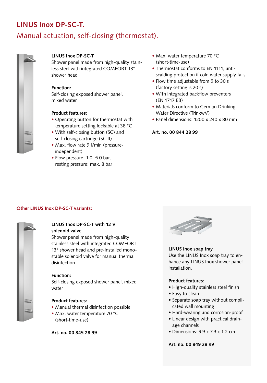# **LINUS Inox DP-SC-T.** Manual actuation, self-closing (thermostat).



## **LINUS Inox DP-SC-T**

Shower panel made from high-quality stainless steel with integrated COMFORT 13° shower head

## **Function:**

Self-closing exposed shower panel, mixed water

## **Product features:**

- Operating button for thermostat with temperature setting lockable at 38 °C
- With self-closing button (SC) and self-closing cartridge (SC II)
- Max. flow rate 9 l/min (pressureindependent)
- Flow pressure: 1.0–5.0 bar, resting pressure: max. 8 bar
- Max. water temperature 70 °C (short-time-use)
- Thermostat conforms to EN 1111, antiscalding protection if cold water supply fails
- Flow time adjustable from 5 to 30 s (factory setting is 20 s)
- With integrated backflow preventers (EN 1717:EB)
- Materials conform to German Drinking Water Directive (TrinkwV)
- Panel dimensions: 1200 x 240 x 80 mm

**Art. no. 00 844 28 99**

## **Other LINUS Inox DP-SC-T variants:**



## **LINUS Inox DP-SC-T with 12 V solenoid valve**

Shower panel made from high-quality stainless steel with integrated COMFORT 13° shower head and pre-installed monostable solenoid valve for manual thermal disinfection

## **Function:**

Self-closing exposed shower panel, mixed water

#### **Product features:**

- Manual thermal disinfection possible
- Max. water temperature 70 °C (short-time-use)

**Art. no. 00 845 28 99**



#### **LINUS Inox soap tray**

Use the LINUS Inox soap tray to enhance any LINUS Inox shower panel installation.

## **Product features:**

- High-quality stainless steel finish
- Easy to clean
- Separate soap tray without complicated wall mounting
- Hard-wearing and corrosion-proof
- Linear design with practical drainage channels
- Dimensions: 9.9 x 7.9 x 1.2 cm

**Art. no. 00 849 28 99**